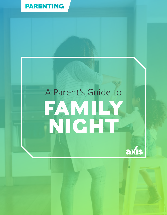

# A Parent's Guide to **FAMILY NIGHT**

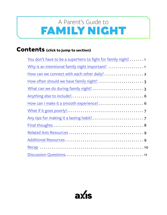## <span id="page-1-0"></span>FAMILY NIGHT A Parent's Guide to

## **Contents (click to jump to section)**

| You don't have to be a superhero to fight for family night! 1 |
|---------------------------------------------------------------|
|                                                               |
|                                                               |
| How often should we have family night?  3                     |
| What can we do during family night?  3                        |
|                                                               |
|                                                               |
|                                                               |
|                                                               |
|                                                               |
|                                                               |
|                                                               |
|                                                               |
|                                                               |

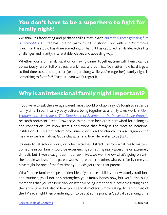## <span id="page-2-0"></span>**You don't have to be a superhero to fight for family night!**

We think it's fascinating and perhaps telling that Pixar's [current highest grossing film](https://www.boxofficemojo.com/franchises/chart/?id=pixar.htm) is *[Incredibles 2](https://www.boxofficemojo.com/franchises/chart/?id=pixar.htm)*. Pixar has created many excellent stories, but with *The Incredibles* franchise, the studio has done something brilliant: It has captured family life, with all its challenges and hilarity, in a relatable, clever, and appealing way.

Whether you're on family vacation or having dinner together, time with family can be uproariously fun or full of stress, crankiness, and conflict. No matter how hard it gets to find time to spend together (or to get along while you're together), family night is something to fight for! Trust us—you won't regret it.

## **Why is an intentional family night important?**

If you were to ask the average parent, most would probably say it's tough to set aside family time. In our insanely busy culture, being together as a family takes work. In *[Men,](https://www.amazon.com/Men-Women-Worthiness-Experience-Enough/dp/B00D4APD3M/ref=sr_1_1) [Women, and Worthiness: The Experience of Shame and the Power of Being Enough](https://www.amazon.com/Men-Women-Worthiness-Experience-Enough/dp/B00D4APD3M/ref=sr_1_1)*, research professor Brené Brown says that human beings are hardwired for belonging and connection. We know from God's word that family is the most foundational institution He created, before government or even the church. It's also arguably the main way we learn about God's character and how He relates to us ([Eph. 5:1](https://www.biblegateway.com/passage/?search=Ephesians+5&version=ESV)).

It's easy to let school, work, or other activities distract us from what really matters. Someone in our family could be experiencing something really awesome or extremely difficult, but if we're caught up in our own lives, we won't know what's going on with the people we love. If one parent works more than the other, whatever family time you have might be one of the few times your kids get to see that parent.

What's more, families shape our identities. If you can establish your own family traditions and routines, you'll not only strengthen your family bonds now, but you'll also build memories that you can look back on later. So being intentional in not only setting aside the family time, but also in how you spend it matters. Simply eating dinner in front of the TV each night then wandering off to bed at some point isn't actually spending time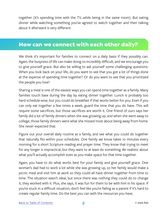<span id="page-3-0"></span>together (it's spending time with the TV...while being in the same room). But eating dinner while watching something you've agreed to watch together and then talking about it afterward is very different.

### **How can we connect with each other daily?**

We think it's important for families to connect on a daily basis if they possibly can. Again, the busyness of life can make doing so incredibly difficult, and we encourage you to give yourself grace. But also be willing to ask yourself some challenging questions. When you look back on your life, do you want to see that you got a lot of things done at the expense of spending time together? Or do you want to see that you prioritized the people you love?

Sharing a meal is one of the easiest ways you can spend time together as a family. Many families touch base during the day by eating dinner together. Lunch is probably too hard schedule-wise, but you could do breakfast if that works better for you. Even if you can only eat together a few times a week, guard the time that you do have. This will require some sacrifices, but those sacrifices are worth it. One friend of ours says her family did a lot of family dinners when she was growing up, and when she went away to college, those family dinners were what she missed most about being away from home. She never expected that.

Figure out your overall daily routine as a family, and see what you could do together that naturally fits within your schedules. One family we know takes 10 minutes every morning for a short Scripture reading and prayer time. They know that trying to meet for any longer is impractical, but they want to at least do something. Be realistic about what you'll actually accomplish even as you make space for that time together.

Again, you have to do what works best for your family and give yourself grace. One woman's dad had to work a lot while she was growing up, so her family would make a picnic meal and visit him at work so they could all have dinner together from time to time. The situation wasn't ideal, but since there was nothing they could do to change it, they worked with it. Plus, she says, it was fun for them to be with him in his space. If you're stuck in a difficult situation, don't feel like you're failing as a parent if it's hard to create regular family time. Do the best you can with the resources you have.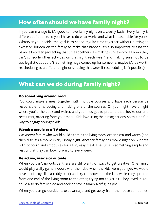## <span id="page-4-0"></span>**How often should we have family night?**

If you can manage it, it's good to have family night on a weekly basis. Every family is different, of course, so you'll have to do what works and what is reasonable for yours. Whatever you decide, the goal is to spend regular time together without putting an excessive burden on the family to make that happen. It's also important to find the balance between protecting that time together (like making sure everyone knows they can't schedule other activities on that night each week) and making sure not to be too legalistic about it (if something huge comes up for someone, maybe it'd be worth rescheduling to a different night or skipping that week if rescheduling isn't possible).

## **What can we do during family night?**

#### Do something around food

You could make a meal together with multiple courses and have each person be responsible for choosing and making one of the courses. Or you might have a night where you're the cook and waiter, and your kids get to pretend that they're out at a restaurant, ordering from your menu. Kids love using their imaginations, so this is a fun way to engage younger kids.

#### Watch a movie or a TV show

We know a family who would build a fort in the living room, order pizza, and watch (and then discuss) a movie every Friday night. Another family has movie night on Sundays with popcorn and smoothies for a fun, easy meal. That time is something simple and restful that they can look forward to every week.

#### Be active, inside or outside

When you can't go outside, there are still plenty of ways to get creative! One family would play a silly game indoors with their dad when the kids were younger. He would have a soft toy (like a teddy bear) and try to throw it at the kids while they sprinted from one end of the living room to the other, trying not to get hit. They loved it. You could also do family hide-and-seek or have a family Nerf gun fight.

When you can go outside, take advantage and get away from the house sometimes.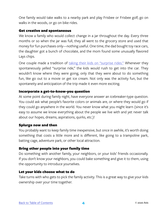One family would take walks to a nearby park and play Frisbee or Frisbee golf, go on walks in the woods, or go on bike rides.

#### Get creative and spontaneous

We know a family who would collect change in a jar throughout the day. Every three months or so when the jar was full, they all went to the grocery store and used that money for fun purchases only—nothing useful. One time, the dad bought toy race cars, the daughter got a bunch of chocolate, and the mom found some unusually flavored Lays chips.

One couple made a tradition of [taking their kids on "surprise rides."](https://www.imom.com/why-having-fun-with-family-is-important/#.W3dEmC_Mzow) Whenever they spontaneously yelled "surprise ride," the kids would rush to get into the car. They wouldn't know where they were going, only that they were about to do something fun, like go out to a movie or get ice cream. Not only was the activity fun, but the spontaneity and anticipation of the trip made it even more exciting.

#### Incorporate a get-to-know-you question

At some point during family night, have everyone answer an icebreaker-type question. You could ask what people's favorite colors or animals are, or where they would go if they could go anywhere in the world. You never know what you might learn (since it's easy to assume we know everything about the people we live with and yet never talk about our hopes, dreams, aspirations, quirks, etc.)!

#### Splurge now and then

You probably want to keep family time inexpensive, but once in awhile, it's worth doing something that costs a little more and is different, like going to a trampoline park, batting cage, adventure park, or other local attraction.

#### Bring other people into your family time

Do something with another family, your neighbors, or your kids' friends occasionally. If you don't know your neighbors, you could bake something and give it to them, using the opportunity to introduce yourselves.

#### Let your kids choose what to do

Take turns with who gets to pick the family activity. This is a great way to give your kids ownership over your time together.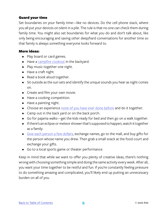#### Guard your time

Set boundaries on your family time—like no devices. Do the cell phone stack, where you all put your devices on silent in a pile. The rule is that no one can check them during family time. You might also set boundaries for what you do and don't talk about, like only being encouraging and saving other deep/hard conversations for another time so that family is always something everyone looks forward to.

#### More ideas:

- Play board or card games.
- Have a [campfire cookout](https://entertainment.howstuffworks.com/leisure/traditional-games/5-fun-family-night-ideas3.htm) in the backyard.
- Play music together one night.
- Have a craft night.
- Read a book aloud together.
- Sit outside as the sun sets and identify the unique sounds you hear as night comes on.
- Create and film your own movie.
- Have a cooking competition.
- Have a painting night.
- Choose an experience [none of you have ever done before](https://modernparentsmessykids.com/planning-family-night-kids-ages/) and do it together.
- Camp out in the back yard or on the back porch.
- Go for pajama walks—get the kids ready for bed and then go on a walk together.
- If there's an eclipse or meteor shower that's supposed to happen, watch it together as a family.
- [Give each person a few dollars,](https://modernparentsmessykids.com/planning-family-night-kids-ages/) exchange names, go to the mall, and buy gifts for the person whose name you drew. Then grab a small snack at the food court and exchange your gifts.
- Go to a local sports game or theater performance.

Keep in mind that while we want to offer you plenty of creative ideas, there's nothing wrong with choosing something simple and doing the same activity every week. After all, you want your time together to be restful and fun. If you're constantly feeling pressure to do something amazing and complicated, you'll likely end up putting an unnecessary burden on all of you.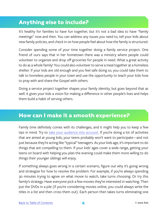## <span id="page-7-0"></span>**Anything else to include?**

It's healthy for families to have fun together, but it's not a bad idea to have "family meetings" now and then. You can address any issues you need to, tell your kids about new family policies, and check in on how people feel about how the family is structured.

Consider spending some of your time together doing a family service project. One friend of ours says that in her hometown there was a ministry where people could volunteer to organize and drop off groceries for people in need. What a great activity to do as a whole family! You could also volunteer to serve a meal together at a homeless shelter. If your kids are old enough and you feel safe doing so, you could take them to talk to homeless people in your town and use the opportunity to teach your kids how to pray with and share the Gospel with others.

Doing a service project together shapes your family identity, but goes beyond that as well. It gives your kids a vision for making a difference in other people's lives and helps them build a habit of serving others.

### **How can I make it a smooth experience?**

Family time definitely comes with its challenges, and it might help you to keep a few tips in mind. Try to [take your audience into account](https://modernparentsmessykids.com/planning-family-night-kids-ages/). If you're doing a lot of activities that are aimed at young kids, your teens probably won't want to participate—and not just because they're acting like "typical" teenagers. As your kids age, it's important to do things that are compelling to them. If your kids' ages cover a wide range, getting your teens on board with helping you plan the evening could make them more willing to do things their younger siblings will enjoy.

If something always goes wrong in a certain scenario, figure out why it's going wrong and strategize for how to resolve the problem. For example, if you're always spending 30 minutes trying to agree on what movie to watch, take turns choosing. Or try this family's strategy: Have everyone pick a few movies they're interested in watching. Then put the DVDs in a pile (if you're considering movies online, you could always write the titles in a list and then cross them out). Each person then takes turns eliminating one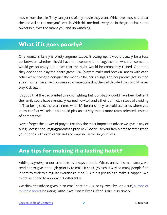<span id="page-8-0"></span>movie from the pile. They can get rid of any movie they want. Whichever movie is left at the end will be the one you'll watch. With this method, everyone in the group has some ownership over the movie you end up watching.

## **What if it goes poorly?**

One woman's family is pretty argumentative. Growing up, it would usually be a toss up between whether they'd have an awesome time together or whether someone would get so angry and upset that the night would be completely ruined. One time they decided to play the board game Risk (players make and break alliances with each other while trying to conquer the world). She, her siblings, and her parents got so mad at each other because they were so competitive that the dad decided they would never play Risk again.

It's good that the dad wanted to avoid fighting, but it probably would have been better if the family could have eventually learned how to handle their conflict, instead of avoiding it. That being said, there are times when it's better simply to avoid scenarios where you know conflict will arise. You could pick an activity that is more team-oriented, instead of competitive.

Never forget the power of prayer. Possibly the most important advice we give in any of our guides is encouraging parents to pray. Ask God to use your family time to strengthen your bonds with each other and accomplish His will in your lives.

## **Any tips for making it a lasting habit?**

Adding *anything* to our schedules is always a battle. Often, unless it's mandatory, we tend not to give it enough priority to make it stick. (Which is why so many people find it hard to stick to a regular exercise routine…) But it *is* possible to make it happen. We might just need to approach it differently.

We think the advice given in an email sent on August 29, 2018 by Jon Acuff, author of [multiple books](https://acuff.me/books/) including *Finish: Give Yourself the Gift of Done*, is so timely: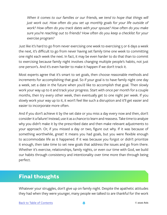<span id="page-9-0"></span>When it comes to our families or our friends, we tend to hope that things will *just work out. How often do you set up monthly goals for your life outside of work? How often do you track dates with your spouse? How often do you make sure you're reaching out to friends? How often do you keep a checklist for your exercise program?*

Just like it's hard to go from never exercising one week to exercising 5 or 6 days a week the next, it's difficult to go from never having set family time one week to committing one night each week the next. In fact, it may be even harder to do that than to commit to exercising because family night involves changing multiple people's habits, not just one person's. And it's even harder to make it happen if we don't track it.

Most experts agree that it's smart to set goals, then choose reasonable methods and increments for accomplishing that goal. So if your goal is to have family night one day a week, set a date in the future when you'd like to accomplish that goal. Then slowly work your way up to it and track your progress. Start with once per month for a couple months, then try every other week, then eventually get to one night per week. If you slowly work your way up to it, it won't feel like such a disruption and it'll get easier and easier to incorporate more often.

And if you don't achieve it by the set date or you miss a day every now and then, don't consider it a failure! Instead, use it as a chance to learn and reassess. Take time to analyze why you didn't make it by the prescribed date and then make relevant adjustments to your approach. Or, if you missed a day or two, figure out why. If it was because of something worthwhile, great! It means you had goals, but you were flexible enough to accommodate life as it happened. If it was because you forgot or didn't prioritize it enough, then take time to set new goals that address the issues and go from there. Whether it's exercise, relationships, family nights, or even our time with God, we build our habits through consistency and intentionality over time more than through being perfect.

## **Final thoughts**

Whatever your struggles, don't give up on family night. Despite the apathetic attitudes they had when they were younger, many people we talked to are thankful for the work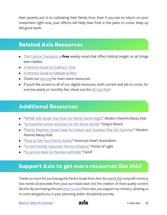<span id="page-10-0"></span>their parents put in to cultivating their family time. Even if you see no return on your investment right now, your efforts will likely bear fruit in the years to come. Keep up the good work!

## **Related Axis Resources**

- *• [The Culture Translator](http://axis.org/ct)*, a **free** weekly email that offers biblical insight on all things teen-related
- [A Parent's Guide to](https://axis.org/product/membership-product-for-ordinary-time/) Ordinary Time
- [A Parent's Guide to](https://axis.org/product/membership-product-for-sabbath-rest/) Sabbath & Rest
- Check out [axis.org](https://axis.org) for even more resources!
- If you'd like access to all of our digital resources, both current and yet to come, for one low yearly or monthly fee, check out the [All Axis Pass](https://axis.org/aap)!

## **Additional Resources**

- ["MPMK Gift Guide: Top Picks for Family Game Night](https://modernparentsmessykids.com/gift-guide-2013-top-picks-for-family-game-night)," Modern Parents Messy Kids
- ["50 essential winter activities for the whole family,](https://www.todaysparent.com/family/activities/50-essential-winter-activities/#gallery/50-essential-winter-activities-for-the-whole-family/0)" Today's Parent
- ["Family Playtime: Great Ideas for Indoor and Outdoor Play this Summer!"](https://modernparentsmessykids.com/family-summer-play-ideas/#more-12646) Modern Parents Messy Kids
- ["How to Get Your Family Active,](http://www.heart.org/en/healthy-living/fitness/getting-active/how-to-get-your-family-active)" American Heart Association
- ["10 Kid-Friendly Volunteer Service Projects,](http://www.pointsoflight.org/blog/2013/03/26/10-kid-friendly-volunteer-service-projects)" Points of Light
- ["25 service ideas for families with kids,](https://www.famifi.com/19763/25-service-ideas-for-families-with-kids)" Famifi

### **Support Axis to get more resources like this!**

Thanks so much for purchasing this Parent Guide from Axis! As a  $501(c)(3)$  nonprofit ministry, Axis invests all proceeds from your purchases back into the creation of more quality content like this. By purchasing this and [other content](https://axis.org) from Axis, you support our ministry, allowing us to come alongside you in your parenting and/or discipleship journey.

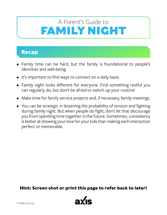## <span id="page-11-0"></span>FAMILY NIGHT A Parent's Guide to

## **Recap**

- Family time can be hard, but the family is foundational to people's identities and well-being.
- It's important to find ways to connect on a daily basis.
- Family night looks different for everyone. Find something restful you can regularly do, but don't be afraid to switch up your routine!
- Make time for family service projects and, if necessary, family meetings.
- You can be strategic in lessening the probability of tension and fighting during family night. But when people do fight, don't let that discourage you from spending time together in the future. Sometimes, consistency is better at showing your love for your kids than making each interaction perfect or memorable.

**Hint: Screen shot or print this page to refer back to later!**